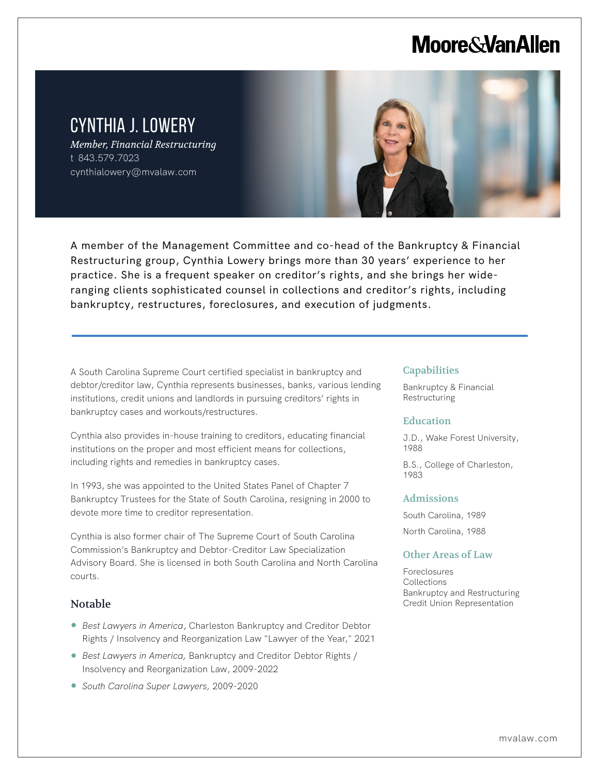# **Moore & Van Allen**

# CYNTHIA J. LOWERY

*Member, Financial Restructuring* t 843.579.7023 cynthialowery@mvalaw.com



A member of the Management Committee and co-head of the Bankruptcy & Financial Restructuring group, Cynthia Lowery brings more than 30 years' experience to her practice. She is a frequent speaker on creditor's rights, and she brings her wideranging clients sophisticated counsel in collections and creditor's rights, including bankruptcy, restructures, foreclosures, and execution of judgments.

A South Carolina Supreme Court certified specialist in bankruptcy and debtor/creditor law, Cynthia represents businesses, banks, various lending institutions, credit unions and landlords in pursuing creditors' rights in bankruptcy cases and workouts/restructures.

Cynthia also provides in-house training to creditors, educating financial institutions on the proper and most efficient means for collections, including rights and remedies in bankruptcy cases.

In 1993, she was appointed to the United States Panel of Chapter 7 Bankruptcy Trustees for the State of South Carolina, resigning in 2000 to devote more time to creditor representation.

Cynthia is also former chair of The Supreme Court of South Carolina Commission's Bankruptcy and Debtor-Creditor Law Specialization Advisory Board. She is licensed in both South Carolina and North Carolina courts.

## Notable

L

- *Best Lawyers in America*, Charleston Bankruptcy and Creditor Debtor Rights / Insolvency and Reorganization Law "Lawyer of the Year," 2021
- *Best Lawyers in America*, Bankruptcy and Creditor Debtor Rights / Insolvency and Reorganization Law, 2009-2022
- *South Carolina Super Lawyers,* 2009-2020

#### **Capabilities**

Bankruptcy & Financial Restructuring

#### Education

J.D., Wake Forest University, 1988

B.S., College of Charleston, 1983

#### Admissions

South Carolina, 1989 North Carolina, 1988

#### Other Areas of Law

Foreclosures Collections Bankruptcy and Restructuring Credit Union Representation